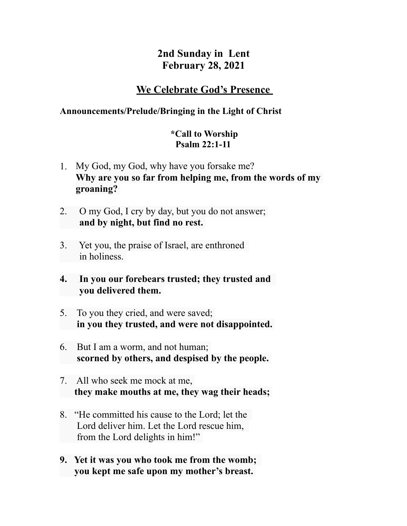# **2nd Sunday in Lent February 28, 2021**

# **We Celebrate God's Presence**

# **Announcements/Prelude/Bringing in the Light of Christ**

## **\*Call to Worship Psalm 22:1-11**

- 1. My God, my God, why have you forsake me? **Why are you so far from helping me, from the words of my groaning?**
- 2. O my God, I cry by day, but you do not answer;  **and by night, but find no rest.**
- 3. Yet you, the praise of Israel, are enthroned in holiness.
- **4. In you our forebears trusted; they trusted and you delivered them.**
- 5. To you they cried, and were saved;  **in you they trusted, and were not disappointed.**
- 6. But I am a worm, and not human;  **scorned by others, and despised by the people.**
- 7. All who seek me mock at me,  **they make mouths at me, they wag their heads;**
- 8. "He committed his cause to the Lord; let the Lord deliver him. Let the Lord rescue him, from the Lord delights in him!"
- **9. Yet it was you who took me from the womb; you kept me safe upon my mother's breast.**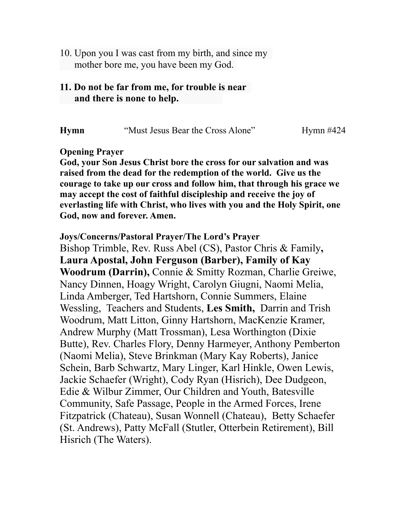10. Upon you I was cast from my birth, and since my mother bore me, you have been my God.

## **11. Do not be far from me, for trouble is near and there is none to help.**

**Hymn** "Must Jesus Bear the Cross Alone" Hymn #424

**Opening Prayer** 

**God, your Son Jesus Christ bore the cross for our salvation and was raised from the dead for the redemption of the world. Give us the courage to take up our cross and follow him, that through his grace we may accept the cost of faithful discipleship and receive the joy of everlasting life with Christ, who lives with you and the Holy Spirit, one God, now and forever. Amen.** 

**Joys/Concerns/Pastoral Prayer/The Lord's Prayer** Bishop Trimble, Rev. Russ Abel (CS), Pastor Chris & Family**,** 

**Laura Apostal, John Ferguson (Barber), Family of Kay Woodrum (Darrin),** Connie & Smitty Rozman, Charlie Greiwe, Nancy Dinnen, Hoagy Wright, Carolyn Giugni, Naomi Melia, Linda Amberger, Ted Hartshorn, Connie Summers, Elaine Wessling, Teachers and Students, **Les Smith,** Darrin and Trish Woodrum, Matt Litton, Ginny Hartshorn, MacKenzie Kramer, Andrew Murphy (Matt Trossman), Lesa Worthington (Dixie Butte), Rev. Charles Flory, Denny Harmeyer, Anthony Pemberton (Naomi Melia), Steve Brinkman (Mary Kay Roberts), Janice Schein, Barb Schwartz, Mary Linger, Karl Hinkle, Owen Lewis, Jackie Schaefer (Wright), Cody Ryan (Hisrich), Dee Dudgeon, Edie & Wilbur Zimmer, Our Children and Youth, Batesville Community, Safe Passage, People in the Armed Forces, Irene Fitzpatrick (Chateau), Susan Wonnell (Chateau), Betty Schaefer (St. Andrews), Patty McFall (Stutler, Otterbein Retirement), Bill Hisrich (The Waters).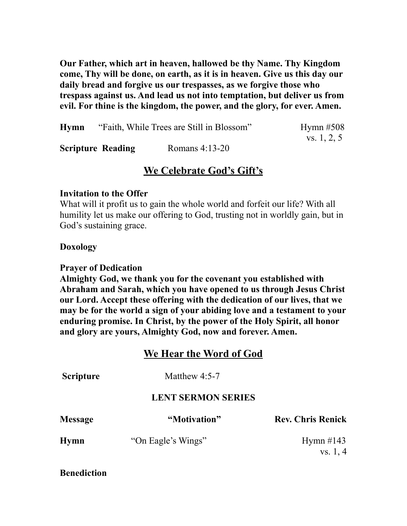**Our Father, which art in heaven, hallowed be thy Name. Thy Kingdom come, Thy will be done, on earth, as it is in heaven. Give us this day our daily bread and forgive us our trespasses, as we forgive those who trespass against us. And lead us not into temptation, but deliver us from evil. For thine is the kingdom, the power, and the glory, for ever. Amen.**

| Hymn                     | "Faith, While Trees are Still in Blossom" | Hymn $#508$ |
|--------------------------|-------------------------------------------|-------------|
| <b>Scripture Reading</b> | Romans $4:13-20$                          | vs. 1, 2, 5 |

# **We Celebrate God's Gift's**

#### **Invitation to the Offer**

What will it profit us to gain the whole world and forfeit our life? With all humility let us make our offering to God, trusting not in worldly gain, but in God's sustaining grace.

#### **Doxology**

#### **Prayer of Dedication**

**Almighty God, we thank you for the covenant you established with Abraham and Sarah, which you have opened to us through Jesus Christ our Lord. Accept these offering with the dedication of our lives, that we may be for the world a sign of your abiding love and a testament to your enduring promise. In Christ, by the power of the Holy Spirit, all honor and glory are yours, Almighty God, now and forever. Amen.** 

## **We Hear the Word of God**

| <b>Scripture</b>          | Matthew $4:5-7$    |                          |  |  |
|---------------------------|--------------------|--------------------------|--|--|
| <b>LENT SERMON SERIES</b> |                    |                          |  |  |
| <b>Message</b>            | "Motivation"       | <b>Rev. Chris Renick</b> |  |  |
| <b>Hymn</b>               | "On Eagle's Wings" | Hymn $\#143$             |  |  |
|                           |                    | vs. 1, 4                 |  |  |

**Benediction**